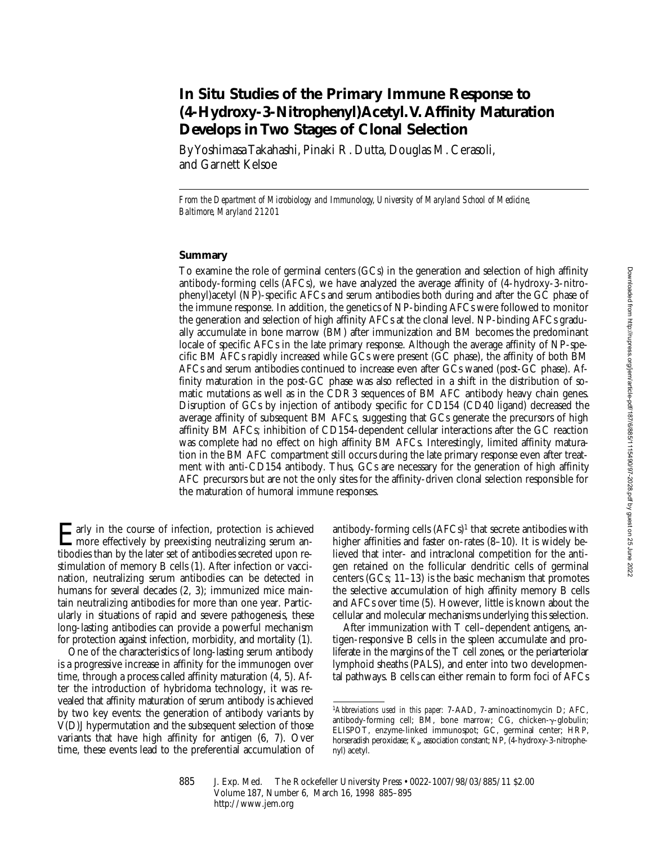# **In Situ Studies of the Primary Immune Response to (4-Hydroxy-3-Nitrophenyl)Acetyl. V. Affinity Maturation Develops in Two Stages of Clonal Selection**

By Yoshimasa Takahashi, Pinaki R. Dutta, Douglas M. Cerasoli, and Garnett Kelsoe

*From the Department of Microbiology and Immunology, University of Maryland School of Medicine, Baltimore, Maryland 21201*

### **Summary**

To examine the role of germinal centers (GCs) in the generation and selection of high affinity antibody-forming cells (AFCs), we have analyzed the average affinity of (4-hydroxy-3-nitrophenyl)acetyl (NP)-specific AFCs and serum antibodies both during and after the GC phase of the immune response. In addition, the genetics of NP-binding AFCs were followed to monitor the generation and selection of high affinity AFCs at the clonal level. NP-binding AFCs gradually accumulate in bone marrow (BM) after immunization and BM becomes the predominant locale of specific AFCs in the late primary response. Although the average affinity of NP-specific BM AFCs rapidly increased while GCs were present (GC phase), the affinity of both BM AFCs and serum antibodies continued to increase even after GCs waned (post-GC phase). Affinity maturation in the post-GC phase was also reflected in a shift in the distribution of somatic mutations as well as in the CDR3 sequences of BM AFC antibody heavy chain genes. Disruption of GCs by injection of antibody specific for CD154 (CD40 ligand) decreased the average affinity of subsequent BM AFCs, suggesting that GCs generate the precursors of high affinity BM AFCs; inhibition of CD154-dependent cellular interactions after the GC reaction was complete had no effect on high affinity BM AFCs. Interestingly, limited affinity maturation in the BM AFC compartment still occurs during the late primary response even after treatment with anti-CD154 antibody. Thus, GCs are necessary for the generation of high affinity AFC precursors but are not the only sites for the affinity-driven clonal selection responsible for the maturation of humoral immune responses.

Early in the course of infection, protection is achieved<br>more effectively by preexisting neutralizing serum antibodies than by the later set of antibodies secreted upon restimulation of memory B cells (1). After infection or vaccination, neutralizing serum antibodies can be detected in humans for several decades (2, 3); immunized mice maintain neutralizing antibodies for more than one year. Particularly in situations of rapid and severe pathogenesis, these long-lasting antibodies can provide a powerful mechanism for protection against infection, morbidity, and mortality (1).

One of the characteristics of long-lasting serum antibody is a progressive increase in affinity for the immunogen over time, through a process called affinity maturation (4, 5). After the introduction of hybridoma technology, it was revealed that affinity maturation of serum antibody is achieved by two key events: the generation of antibody variants by V(D)J hypermutation and the subsequent selection of those variants that have high affinity for antigen (6, 7). Over time, these events lead to the preferential accumulation of antibody-forming cells  $(AFCs)^1$  that secrete antibodies with higher affinities and faster on-rates (8–10). It is widely believed that inter- and intraclonal competition for the antigen retained on the follicular dendritic cells of germinal centers (GCs; 11–13) is the basic mechanism that promotes the selective accumulation of high affinity memory B cells and AFCs over time (5). However, little is known about the cellular and molecular mechanisms underlying this selection.

After immunization with T cell–dependent antigens, antigen-responsive B cells in the spleen accumulate and proliferate in the margins of the T cell zones, or the periarteriolar lymphoid sheaths (PALS), and enter into two developmental pathways. B cells can either remain to form foci of AFCs

<sup>1</sup>*Abbreviations used in this paper:* 7-AAD, 7-aminoactinomycin D; AFC, antibody-forming cell;  $\vec{BM}$ , bone marrow; CG, chicken- $\gamma$ -globulin; ELISPOT, enzyme-linked immunospot; GC, germinal center; HRP, horseradish peroxidase; *K*a, association constant; NP, (4-hydroxy-3-nitrophenyl) acetyl.

<sup>885</sup> J. Exp. Med. © The Rockefeller University Press • 0022-1007/98/03/885/11 \$2.00 Volume 187, Number 6, March 16, 1998 885–895 http://www.jem.org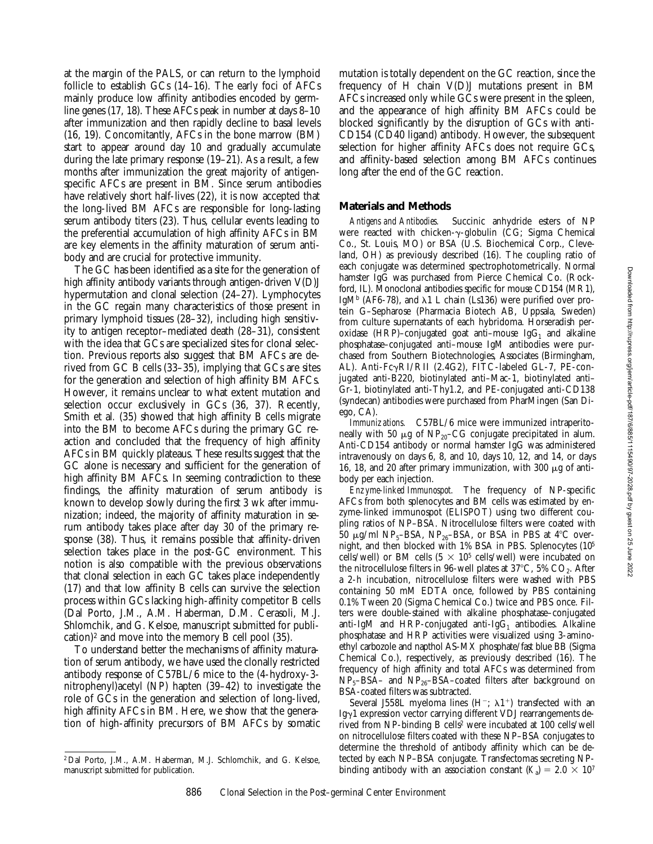Downloaded from http://rupress.org/jem/article-pdf/187/6/885/1115490/97-2028.pdf by guest on 25 June 2022 Downloaded from http://rupress.org/jem/article-pdf/187/6/885/1115490/97-2028.pdf by guest on 25 June 2022

at the margin of the PALS, or can return to the lymphoid follicle to establish GCs (14–16). The early foci of AFCs mainly produce low affinity antibodies encoded by germline genes (17, 18). These AFCs peak in number at days 8–10 after immunization and then rapidly decline to basal levels (16, 19). Concomitantly, AFCs in the bone marrow (BM) start to appear around day 10 and gradually accumulate during the late primary response (19–21). As a result, a few months after immunization the great majority of antigenspecific AFCs are present in BM. Since serum antibodies have relatively short half-lives (22), it is now accepted that the long-lived BM AFCs are responsible for long-lasting serum antibody titers (23). Thus, cellular events leading to the preferential accumulation of high affinity AFCs in BM are key elements in the affinity maturation of serum antibody and are crucial for protective immunity.

The GC has been identified as a site for the generation of high affinity antibody variants through antigen-driven V(D)J hypermutation and clonal selection (24–27). Lymphocytes in the GC regain many characteristics of those present in primary lymphoid tissues (28–32), including high sensitivity to antigen receptor–mediated death (28–31), consistent with the idea that GCs are specialized sites for clonal selection. Previous reports also suggest that BM AFCs are derived from GC B cells (33–35), implying that GCs are sites for the generation and selection of high affinity BM AFCs. However, it remains unclear to what extent mutation and selection occur exclusively in GCs (36, 37). Recently, Smith et al*.* (35) showed that high affinity B cells migrate into the BM to become AFCs during the primary GC reaction and concluded that the frequency of high affinity AFCs in BM quickly plateaus. These results suggest that the GC alone is necessary and sufficient for the generation of high affinity BM AFCs. In seeming contradiction to these findings, the affinity maturation of serum antibody is known to develop slowly during the first 3 wk after immunization; indeed, the majority of affinity maturation in serum antibody takes place after day 30 of the primary response (38). Thus, it remains possible that affinity-driven selection takes place in the post-GC environment. This notion is also compatible with the previous observations that clonal selection in each GC takes place independently (17) and that low affinity B cells can survive the selection process within GCs lacking high-affinity competitor B cells (Dal Porto, J.M., A.M. Haberman, D.M. Cerasoli, M.J. Shlomchik, and G. Kelsoe, manuscript submitted for publication)<sup>2</sup> and move into the memory B cell pool  $(35)$ .

To understand better the mechanisms of affinity maturation of serum antibody, we have used the clonally restricted antibody response of C57BL/6 mice to the (4-hydroxy-3 nitrophenyl)acetyl (NP) hapten (39–42) to investigate the role of GCs in the generation and selection of long-lived, high affinity AFCs in BM. Here, we show that the generation of high-affinity precursors of BM AFCs by somatic mutation is totally dependent on the GC reaction, since the frequency of H chain V(D)J mutations present in BM AFCs increased only while GCs were present in the spleen, and the appearance of high affinity BM AFCs could be blocked significantly by the disruption of GCs with anti-CD154 (CD40 ligand) antibody. However, the subsequent selection for higher affinity AFCs does not require GCs, and affinity-based selection among BM AFCs continues long after the end of the GC reaction.

# **Materials and Methods**

*Antigens and Antibodies.* Succinic anhydride esters of NP were reacted with chicken-γ-globulin (CG; Sigma Chemical Co., St. Louis, MO) or BSA (U.S. Biochemical Corp., Cleveland, OH) as previously described (16). The coupling ratio of each conjugate was determined spectrophotometrically. Normal hamster IgG was purchased from Pierce Chemical Co. (Rockford, IL). Monoclonal antibodies specific for mouse CD154 (MR1), IgM<sup>b</sup> (AF6-78), and  $\lambda$ 1 L chain (Ls136) were purified over protein G–Sepharose (Pharmacia Biotech AB, Uppsala, Sweden) from culture supernatants of each hybridoma. Horseradish peroxidase (HRP)–conjugated goat anti–mouse Ig $G_1$  and alkaline phosphatase–conjugated anti–mouse IgM antibodies were purchased from Southern Biotechnologies, Associates (Birmingham, AL). Anti-FcγRI/RII (2.4G2), FITC-labeled GL-7, PE-conjugated anti-B220, biotinylated anti–Mac-1, biotinylated anti– Gr-1, biotinylated anti-Thy1.2, and PE-conjugated anti-CD138 (syndecan) antibodies were purchased from PharMingen (San Diego, CA).

*Immunizations.* C57BL/6 mice were immunized intraperitoneally with 50  $\mu$ g of NP<sub>20</sub>–CG conjugate precipitated in alum. Anti-CD154 antibody or normal hamster IgG was administered intravenously on days 6, 8, and 10, days 10, 12, and 14, or days 16, 18, and 20 after primary immunization, with 300  $\mu$ g of antibody per each injection.

*Enzyme-linked Immunospot.* The frequency of NP-specific AFCs from both splenocytes and BM cells was estimated by enzyme-linked immunospot (ELISPOT) using two different coupling ratios of NP–BSA. Nitrocellulose filters were coated with 50  $\mu$ g/ml NP<sub>5</sub>–BSA, NP<sub>26</sub>–BSA, or BSA in PBS at 4°C overnight, and then blocked with 1% BSA in PBS. Splenocytes (105 cells/well) or BM cells  $(5 \times 10^5 \text{ cells/well})$  were incubated on the nitrocellulose filters in 96-well plates at 37°C, 5%  $CO<sub>2</sub>$ . After a 2-h incubation, nitrocellulose filters were washed with PBS containing 50 mM EDTA once, followed by PBS containing 0.1% Tween 20 (Sigma Chemical Co.) twice and PBS once. Filters were double-stained with alkaline phosphatase–conjugated anti-IgM and HRP-conjugated anti-Ig $G_1$  antibodies. Alkaline phosphatase and HRP activities were visualized using 3-aminoethyl carbozole and napthol AS-MX phosphate/fast blue BB (Sigma Chemical Co.), respectively, as previously described (16). The frequency of high affinity and total AFCs was determined from  $NP<sub>5</sub>-BSA-$  and  $NP<sub>26</sub>-BSA-coated filters$  after background on BSA-coated filters was subtracted.

Several J558L myeloma lines (H<sup>-</sup>;  $\lambda$ 1<sup>+</sup>) transfected with an Ig $\gamma$ 1 expression vector carrying different VDJ rearrangements derived from NP-binding B cells<sup>2</sup> were incubated at 100 cells/well on nitrocellulose filters coated with these NP–BSA conjugates to determine the threshold of antibody affinity which can be detected by each NP–BSA conjugate. Transfectomas secreting NPbinding antibody with an association constant  $(K_a) = 2.0 \times 10^7$ 

<sup>2</sup> Dal Porto, J.M., A.M. Haberman, M.J. Schlomchik, and G. Kelsoe, manuscript submitted for publication.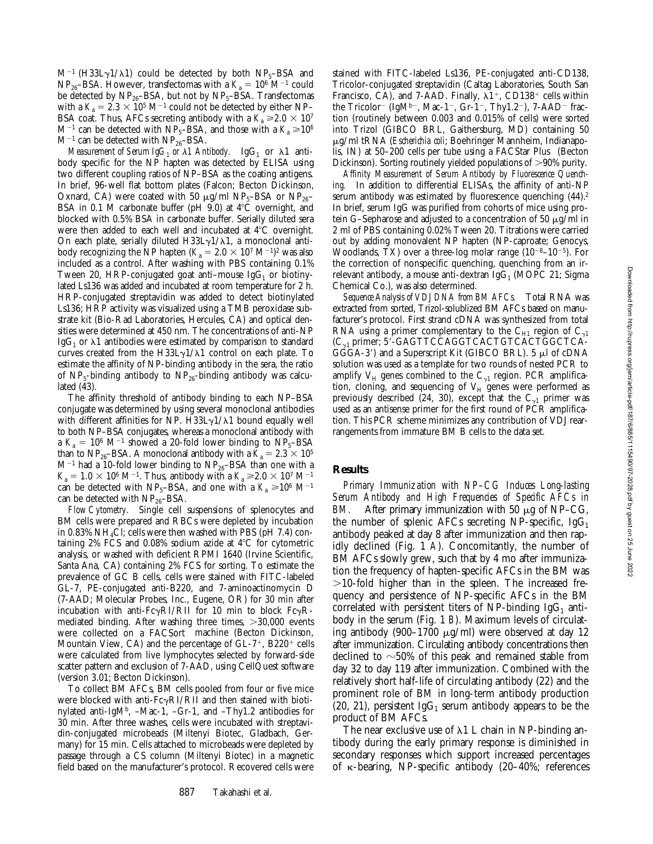$M^{-1}$  (H33L $\gamma$ 1/ $\lambda$ 1) could be detected by both NP<sub>5</sub>–BSA and  $NP_{26}$ –BSA. However, transfectomas with a  $K_a = 10^6$  M<sup>-1</sup> could be detected by  $NP_{26}$ -BSA, but not by  $NP_{5}$ -BSA. Transfectomas with a  $K_a = 2.3 \times 10^5 \text{ M}^{-1}$  could not be detected by either NP– BSA coat. Thus, AFCs secreting antibody with a  $K_a \ge 2.0 \times 10^7$  $M^{-1}$  can be detected with NP<sub>5</sub>–BSA, and those with a  $K_a \ge 10^6$  $M^{-1}$  can be detected with  $NP_{26}$ -BSA.

*Measurement of Serum IgG<sub>1</sub> or*  $\lambda$ *1 Antibody.* IgG<sub>1</sub> or  $\lambda$ 1 antibody specific for the NP hapten was detected by ELISA using two different coupling ratios of NP–BSA as the coating antigens. In brief, 96-well flat bottom plates (Falcon; Becton Dickinson, Oxnard, CA) were coated with 50  $\mu$ g/ml NP<sub>5</sub>–BSA or NP<sub>26</sub>– BSA in 0.1 M carbonate buffer (pH 9.0) at  $4^{\circ}$ C overnight, and blocked with 0.5% BSA in carbonate buffer. Serially diluted sera were then added to each well and incubated at  $4^{\circ}$ C overnight. On each plate, serially diluted H33L $\gamma$ 1/ $\lambda$ 1, a monoclonal antibody recognizing the NP hapten  $(K_a = 2.0 \times 10^7 \text{ M}^{-1})^2$  was also included as a control. After washing with PBS containing 0.1% Tween 20, HRP-conjugated goat anti-mouse  $\lg G_1$  or biotinylated Ls136 was added and incubated at room temperature for 2 h. HRP-conjugated streptavidin was added to detect biotinylated Ls136; HRP activity was visualized using a TMB peroxidase substrate kit (Bio-Rad Laboratories, Hercules, CA) and optical densities were determined at 450 nm. The concentrations of anti-NP IgG<sub>1</sub> or  $\lambda$ 1 antibodies were estimated by comparison to standard curves created from the H33L $\gamma$ 1/ $\lambda$ 1 control on each plate. To estimate the affinity of NP-binding antibody in the sera, the ratio of NP<sub>5</sub>-binding antibody to NP<sub>26</sub>-binding antibody was calculated (43).

The affinity threshold of antibody binding to each NP–BSA conjugate was determined by using several monoclonal antibodies with different affinities for NP. H33L $\gamma$ 1/ $\lambda$ 1 bound equally well to both NP–BSA conjugates, whereas a monoclonal antibody with a  $K_a = 10^6$  M<sup>-1</sup> showed a 20-fold lower binding to NP<sub>5</sub>-BSA than to NP<sub>26</sub>–BSA. A monoclonal antibody with a  $K_a = 2.3 \times 10^5$  $M^{-1}$  had a 10-fold lower binding to  $NP_{26}$ -BSA than one with a  $K_a = 1.0 \times 10^6 \text{ M}^{-1}$ . Thus, antibody with a  $K_a \ge 2.0 \times 10^7 \text{ M}^{-1}$ can be detected with NP<sub>5</sub>–BSA, and one with a  $K_a \ge 10^6$  M<sup>-1</sup> can be detected with  $NP<sub>26</sub>–BSA$ .

*Flow Cytometry.* Single cell suspensions of splenocytes and BM cells were prepared and RBCs were depleted by incubation in 0.83% NH4Cl; cells were then washed with PBS (pH 7.4) containing  $2\%$  FCS and 0.08% sodium azide at  $4^{\circ}$ C for cytometric analysis, or washed with deficient RPMI 1640 (Irvine Scientific, Santa Ana, CA) containing 2% FCS for sorting. To estimate the prevalence of GC B cells, cells were stained with FITC-labeled GL-7, PE-conjugated anti-B220, and 7-aminoactinomycin D (7-AAD; Molecular Probes, Inc., Eugene, OR) for 30 min after incubation with anti-Fc $\gamma$ RI/RII for 10 min to block Fc $\gamma$ Rmediated binding. After washing three times,  $>30,000$  events were collected on a FACSort<sup>®</sup> machine (Becton Dickinson, Mountain View, CA) and the percentage of  $GL-7^+$ , B220<sup>+</sup> cells were calculated from live lymphocytes selected by forward-side scatter pattern and exclusion of 7-AAD, using CellQuest software (version 3.01; Becton Dickinson).

To collect BM AFCs, BM cells pooled from four or five mice were blocked with anti- $Fc\gamma RI/RI$  and then stained with biotinylated anti-IgM<sup>b</sup>,  $-Mac-1$ ,  $-Gr-1$ , and  $-Thy1.2$  antibodies for 30 min. After three washes, cells were incubated with streptavidin-conjugated microbeads (Miltenyi Biotec, Gladbach, Germany) for 15 min. Cells attached to microbeads were depleted by passage through a CS column (Miltenyi Biotec) in a magnetic field based on the manufacturer's protocol. Recovered cells were

stained with FITC-labeled Ls136, PE-conjugated anti-CD138, Tricolor-conjugated streptavidin (Caltag Laboratories, South San Francisco, CA), and 7-AAD. Finally,  $\lambda$ 1<sup>+</sup>, CD138<sup>+</sup> cells within the Tricolor<sup>-</sup> (IgM<sup>b-</sup>, Mac-1<sup>-</sup>, Gr-1<sup>-</sup>, Thy1.2<sup>-</sup>), 7-AAD<sup>-</sup> fraction (routinely between 0.003 and 0.015% of cells) were sorted into Trizol (GIBCO BRL, Gaithersburg, MD) containing 50 mg/ml tRNA (*Escherichia coli*; Boehringer Mannheim, Indianapolis, IN) at 50-200 cells per tube using a FACStar Plus® (Becton Dickinson). Sorting routinely yielded populations of >90% purity.

*Affinity Measurement of Serum Antibody by Fluorescence Quenching.* In addition to differential ELISAs, the affinity of anti-NP serum antibody was estimated by fluorescence quenching  $(44)$ .<sup>2</sup> In brief, serum IgG was purified from cohorts of mice using protein G–Sepharose and adjusted to a concentration of 50  $\mu$ g/ml in 2 ml of PBS containing 0.02% Tween 20. Titrations were carried out by adding monovalent NP hapten (NP-caproate; Genocys, Woodlands, TX) over a three-log molar range  $(10^{-8}-10^{-5})$ . For the correction of nonspecific quenching, quenching from an irrelevant antibody, a mouse anti-dextran Ig $G_1$  (MOPC 21; Sigma Chemical Co.), was also determined.

*Sequence Analysis of VDJ DNA from BM AFCs.* Total RNA was extracted from sorted, Trizol-solublized BM AFCs based on manufacturer's protocol. First strand cDNA was synthesized from total RNA using a primer complementary to the  $C_{H1}$  region of  $C_{\gamma1}$  $(C_{\gamma1}$  primer; 5'-GAGTTCCAGGTCACTGTCACTGGCTCA-GGGA-3') and a Superscript Kit (GIBCO BRL). 5 µl of cDNA solution was used as a template for two rounds of nested PCR to amplify  $\rm V_H$  genes combined to the  $\rm C_{\gamma1}$  region. PCR amplification, cloning, and sequencing of  $\rm V_H$  genes were performed as previously described (24, 30), except that the  $\mathrm{C}_{\gamma 1}$  primer was used as an antisense primer for the first round of PCR amplification. This PCR scheme minimizes any contribution of VDJ rearrangements from immature BM B cells to the data set.

#### **Results**

*Primary Immunization with NP–CG Induces Long-lasting Serum Antibody and High Frequencies of Specific AFCs in BM.* After primary immunization with 50  $\mu$ g of NP–CG, the number of splenic AFCs secreting NP-specific,  $IgG_1$ antibody peaked at day 8 after immunization and then rapidly declined (Fig. 1 *A*). Concomitantly, the number of BM AFCs slowly grew, such that by 4 mo after immunization the frequency of hapten-specific AFCs in the BM was  $>10$ -fold higher than in the spleen. The increased frequency and persistence of NP-specific AFCs in the BM correlated with persistent titers of NP-binding IgG<sub>1</sub> antibody in the serum (Fig. 1 *B*). Maximum levels of circulating antibody (900–1700  $\mu$ g/ml) were observed at day 12 after immunization. Circulating antibody concentrations then declined to  $\sim$ 50% of this peak and remained stable from day 32 to day 119 after immunization. Combined with the relatively short half-life of circulating antibody (22) and the prominent role of BM in long-term antibody production (20, 21), persistent IgG<sub>1</sub> serum antibody appears to be the product of BM AFCs.

The near exclusive use of  $\lambda$ 1 L chain in NP-binding antibody during the early primary response is diminished in secondary responses which support increased percentages of k-bearing, NP-specific antibody (20–40%; references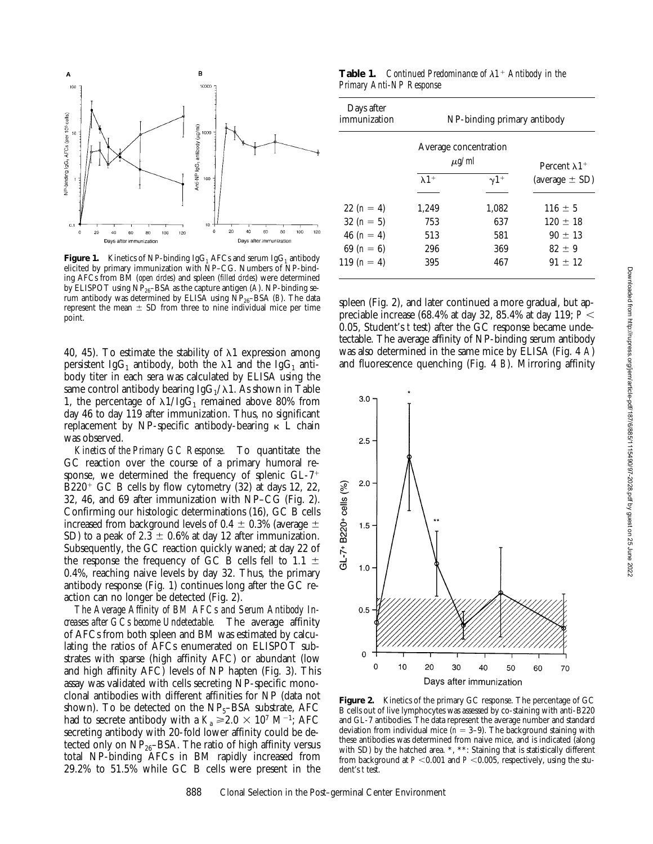

**Figure 1.** Kinetics of NP-binding  $IgG_1$  AFCs and serum  $IgG_1$  antibody elicited by primary immunization with NP–CG. Numbers of NP-binding AFCs from BM (*open circles*) and spleen (*filled circles*) were determined by ELISPOT using NP26–BSA as the capture antigen (*A*). NP-binding serum antibody was determined by ELISA using  $\overline{NP}_{26}$ –BSA (*B*). The data represent the mean  $\pm$  SD from three to nine individual mice per time point.

40, 45). To estimate the stability of  $\lambda$ 1 expression among persistent IgG<sub>1</sub> antibody, both the  $\lambda$ 1 and the IgG<sub>1</sub> antibody titer in each sera was calculated by ELISA using the same control antibody bearing  $IgG_1/\lambda 1$ . As shown in Table 1, the percentage of  $\lambda 1/IgG_1$  remained above 80% from day 46 to day 119 after immunization. Thus, no significant replacement by NP-specific antibody-bearing  $\kappa$  L chain was observed.

*Kinetics of the Primary GC Response.* To quantitate the GC reaction over the course of a primary humoral response, we determined the frequency of splenic  $GL-7$ <sup>+</sup>  $\rm{B}220^+$  GC B cells by flow cytometry (32) at days 12, 22, 32, 46, and 69 after immunization with NP–CG (Fig. 2). Confirming our histologic determinations (16), GC B cells increased from background levels of 0.4  $\pm$  0.3% (average  $\pm$ SD) to a peak of 2.3  $\pm$  0.6% at day 12 after immunization. Subsequently, the GC reaction quickly waned; at day 22 of the response the frequency of GC B cells fell to 1.1  $\pm$ 0.4%, reaching naive levels by day 32. Thus, the primary antibody response (Fig. 1) continues long after the GC reaction can no longer be detected (Fig. 2).

*The Average Affinity of BM AFCs and Serum Antibody Increases after GCs become Undetectable.* The average affinity of AFCs from both spleen and BM was estimated by calculating the ratios of AFCs enumerated on ELISPOT substrates with sparse (high affinity AFC) or abundant (low and high affinity AFC) levels of NP hapten (Fig. 3). This assay was validated with cells secreting NP-specific monoclonal antibodies with different affinities for NP (data not shown). To be detected on the  $NP<sub>5</sub>-BSA$  substrate, AFC had to secrete antibody with a  $K_a \ge 2.0 \times 10^7$  M<sup>-1</sup>; AFC secreting antibody with 20-fold lower affinity could be detected only on  $NP_{26}$ –BSA. The ratio of high affinity versus total NP-binding AFCs in BM rapidly increased from 29.2% to 51.5% while GC B cells were present in the

**Table 1.** *Continued Predominance of*  $\lambda$ 1<sup>+</sup> Antibody in the *Primary Anti-NP Response*

| Days after<br>immunization | NP-binding primary antibody         |             |                                  |  |
|----------------------------|-------------------------------------|-------------|----------------------------------|--|
|                            | Average concentration<br>$\mu$ g/ml |             | Percent $\lambda$ 1 <sup>+</sup> |  |
|                            | $\lambda$ 1 <sup>+</sup>            | $\gamma$ 1+ | (average $\pm$ SD)               |  |
| 22 $(n = 4)$               | 1,249                               | 1.082       | $116 \pm 5$                      |  |
| 32 $(n = 5)$               | 753                                 | 637         | $120 \pm 18$                     |  |
| 46 $(n = 4)$               | 513                                 | 581         | $90 \pm 13$                      |  |
| 69 $(n = 6)$               | 296                                 | 369         | $82 \pm 9$                       |  |
| 119 $(n = 4)$              | 395                                 | 467         | $91 \pm 12$                      |  |

spleen (Fig. 2), and later continued a more gradual, but appreciable increase (68.4% at day 32, 85.4% at day 119;  $P <$ 0.05, Student's *t* test) after the GC response became undetectable. The average affinity of NP-binding serum antibody was also determined in the same mice by ELISA (Fig. 4 *A*) and fluorescence quenching (Fig. 4 *B*). Mirroring affinity



**Figure 2.** Kinetics of the primary GC response. The percentage of GC B cells out of live lymphocytes was assessed by co-staining with anti-B220 and GL-7 antibodies. The data represent the average number and standard deviation from individual mice ( $n = 3-9$ ). The background staining with these antibodies was determined from naive mice, and is indicated (along with SD) by the hatched area. \*, \*\*: Staining that is statistically different from background at  $P < 0.001$  and  $P < 0.005$ , respectively, using the student's *t* test.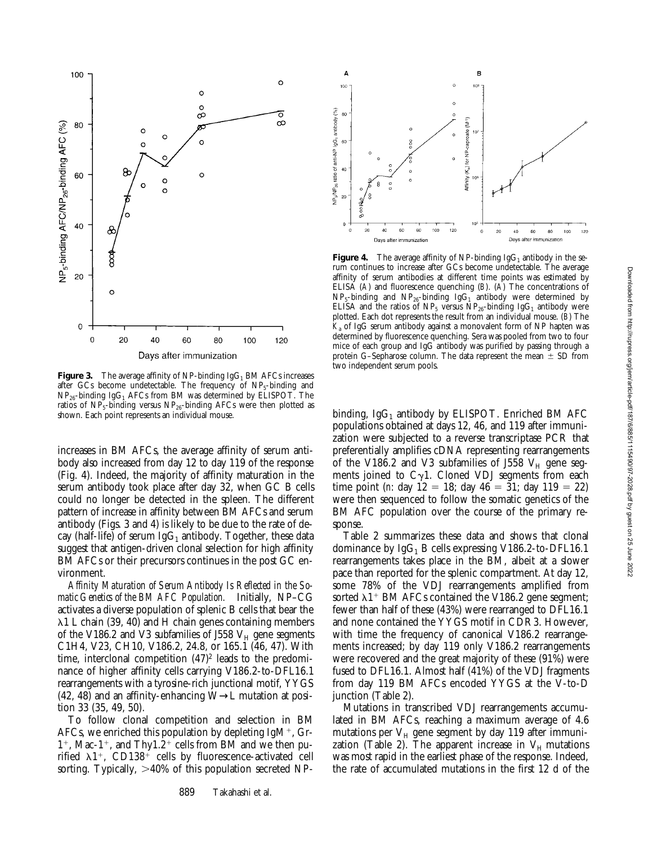

**Figure 3.** The average affinity of NP-binding  $IgG_1$  BM AFCs increases after GCs become undetectable. The frequency of  $NP<sub>5</sub>$ -binding and  $NP_{26}$ -binding IgG<sub>1</sub> AFCs from BM was determined by ELISPOT. The ratios of  $NP_5$ -binding versus  $NP_{26}$ -binding AFCs were then plotted as shown. Each point represents an individual mouse.

increases in BM AFCs, the average affinity of serum antibody also increased from day 12 to day 119 of the response (Fig. 4). Indeed, the majority of affinity maturation in the serum antibody took place after day 32, when GC B cells could no longer be detected in the spleen. The different pattern of increase in affinity between BM AFCs and serum antibody (Figs. 3 and 4) is likely to be due to the rate of decay (half-life) of serum  $IgG_1$  antibody. Together, these data suggest that antigen-driven clonal selection for high affinity BM AFCs or their precursors continues in the post GC environment.

*Affinity Maturation of Serum Antibody Is Reflected in the Somatic Genetics of the BM AFC Population.* Initially, NP–CG activates a diverse population of splenic B cells that bear the  $\lambda$ 1 L chain (39, 40) and H chain genes containing members of the V186.2 and V3 subfamilies of J558  $V_H$  gene segments C1H4, V23, CH10, V186.2, 24.8, or 165.1 (46, 47). With time, interclonal competition  $(47)^2$  leads to the predominance of higher affinity cells carrying V186.2-to-DFL16.1 rearrangements with a tyrosine-rich junctional motif, YYGS (42, 48) and an affinity-enhancing W→L mutation at position 33 (35, 49, 50).

To follow clonal competition and selection in BM AFCs, we enriched this population by depleting  $IgM^{+}$ , Gr- $1^+$ , Mac-1<sup>+</sup>, and Thy1.2<sup>+</sup> cells from BM and we then purified  $\lambda$ 1<sup>+</sup>, CD138<sup>+</sup> cells by fluorescence-activated cell sorting. Typically,  $>40\%$  of this population secreted NP-



**Figure 4.** The average affinity of NP-binding  $IgG_1$  antibody in the serum continues to increase after GCs become undetectable. The average affinity of serum antibodies at different time points was estimated by ELISA (*A*) and fluorescence quenching (*B*). (*A*) The concentrations of  $NP_5$ -binding and  $NP_{26}$ -binding IgG<sub>1</sub> antibody were determined by ELISA and the ratios of NP<sub>5</sub> versus NP<sub>26</sub>-binding IgG<sub>1</sub> antibody were plotted. Each dot represents the result from an individual mouse. (*B*) The  $K<sub>a</sub>$  of IgG serum antibody against a monovalent form of NP hapten was determined by fluorescence quenching. Sera was pooled from two to four mice of each group and IgG antibody was purified by passing through a protein G–Sepharose column. The data represent the mean  $\pm$  SD from two independent serum pools.

binding,  $IgG_1$  antibody by ELISPOT. Enriched BM AFC populations obtained at days 12, 46, and 119 after immunization were subjected to a reverse transcriptase PCR that preferentially amplifies cDNA representing rearrangements of the V186.2 and V3 subfamilies of J558  $V_H$  gene segments joined to  $C_{\gamma}1$ . Cloned VDJ segments from each time point (*n*: day  $12 = 18$ ; day  $46 = 31$ ; day  $119 = 22$ ) were then sequenced to follow the somatic genetics of the BM AFC population over the course of the primary response.

Table 2 summarizes these data and shows that clonal dominance by  $IgG_1$  B cells expressing V186.2-to-DFL16.1 rearrangements takes place in the BM, albeit at a slower pace than reported for the splenic compartment. At day 12, some 78% of the VDJ rearrangements amplified from sorted  $\lambda1$ <sup>+</sup> BM AFCs contained the V186.2 gene segment; fewer than half of these (43%) were rearranged to DFL16.1 and none contained the YYGS motif in CDR3. However, with time the frequency of canonical V186.2 rearrangements increased; by day 119 only V186.2 rearrangements were recovered and the great majority of these (91%) were fused to DFL16.1. Almost half (41%) of the VDJ fragments from day 119 BM AFCs encoded YYGS at the V-to-D junction (Table 2).

Mutations in transcribed VDJ rearrangements accumulated in BM AFCs, reaching a maximum average of 4.6 mutations per  $V_H$  gene segment by day 119 after immunization (Table 2). The apparent increase in  $V_H$  mutations was most rapid in the earliest phase of the response. Indeed, the rate of accumulated mutations in the first 12 d of the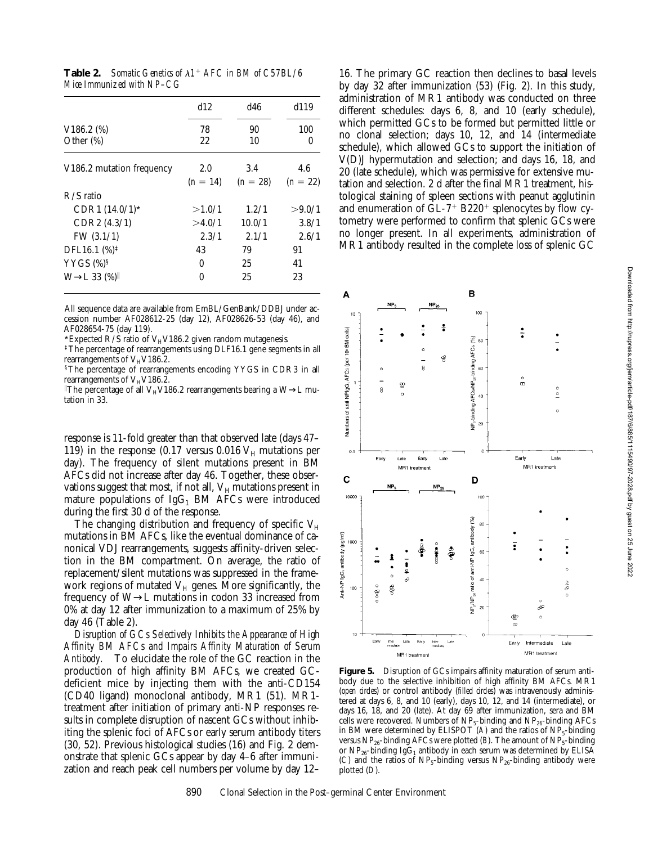**Table 2.** *Somatic Genetics of*  $\lambda$ 1<sup>+</sup> *AFC in BM of C57BL/6 Mice Immunized with NP–CG*

|                           | d12        | d46        | d119       |
|---------------------------|------------|------------|------------|
| $V186.2~\frac{\%}{\%}$    | 78         | 90         | 100        |
| Other (%)                 | 22         | 10         | 0          |
| V186.2 mutation frequency | 2.0        | 3.4        | 4.6        |
|                           | $(n = 14)$ | $(n = 28)$ | $(n = 22)$ |
| $R/S$ ratio               |            |            |            |
| $CDR1 (14.0/1)$ *         | >1.0/1     | 1.2/1      | >9.0/1     |
| CDR2 (4.3/1)              | >4.0/1     | 10.0/1     | 3.8/1      |
| FW $(3.1/1)$              | 2.3/1      | 2.1/1      | 2.6/1      |
| DFL16.1 (%) <sup>‡</sup>  | 43         | 79         | 91         |
| YYGS $(\%)^{\S}$          | 0          | 25         | 41         |
| $W \rightarrow L 33$ (%)  | 0          | 25         | 23         |

All sequence data are available from EmBL/GenBank/DDBJ under accession number AF028612-25 (day 12), AF028626-53 (day 46), and AF028654-75 (day 119).

\*Expected R/S ratio of  $V_HV186.2$  given random mutagenesis.

‡The percentage of rearrangements using DLF16.1 gene segments in all rearrangements of  $V_HV186.2$ .

§The percentage of rearrangements encoding YYGS in CDR3 in all rearrangements of  $V_HV186.2$ .

 $^{\parallel}$ The percentage of all V $_{\rm H}$ V186.2 rearrangements bearing a W→L mutation in 33.

response is 11-fold greater than that observed late (days 47– 119) in the response (0.17 versus 0.016  $V_H$  mutations per day). The frequency of silent mutations present in BM AFCs did not increase after day 46. Together, these observations suggest that most, if not all,  $V_H$  mutations present in mature populations of  $IgG_1$  BM AFCs were introduced during the first 30 d of the response.

The changing distribution and frequency of specific  $V_H$ mutations in BM AFCs, like the eventual dominance of canonical VDJ rearrangements, suggests affinity-driven selection in the BM compartment. On average, the ratio of replacement/silent mutations was suppressed in the framework regions of mutated  $V_H$  genes. More significantly, the frequency of W→L mutations in codon 33 increased from 0% at day 12 after immunization to a maximum of 25% by day 46 (Table 2).

*Disruption of GCs Selectively Inhibits the Appearance of High Affinity BM AFCs and Impairs Affinity Maturation of Serum Antibody.* To elucidate the role of the GC reaction in the production of high affinity BM AFCs, we created GCdeficient mice by injecting them with the anti-CD154 (CD40 ligand) monoclonal antibody, MR1 (51). MR1 treatment after initiation of primary anti-NP responses results in complete disruption of nascent GCs without inhibiting the splenic foci of AFCs or early serum antibody titers (30, 52). Previous histological studies (16) and Fig. 2 demonstrate that splenic GCs appear by day 4–6 after immunization and reach peak cell numbers per volume by day 12–

16. The primary GC reaction then declines to basal levels by day 32 after immunization (53) (Fig. 2). In this study, administration of MR1 antibody was conducted on three different schedules: days 6, 8, and 10 (early schedule), which permitted GCs to be formed but permitted little or no clonal selection; days 10, 12, and 14 (intermediate schedule), which allowed GCs to support the initiation of V(D)J hypermutation and selection; and days 16, 18, and 20 (late schedule), which was permissive for extensive mutation and selection. 2 d after the final MR1 treatment, histological staining of spleen sections with peanut agglutinin and enumeration of  $GL-7$ <sup>+</sup> B220<sup>+</sup> splenocytes by flow cytometry were performed to confirm that splenic GCs were no longer present. In all experiments, administration of MR1 antibody resulted in the complete loss of splenic GC



**Figure 5.** Disruption of GCs impairs affinity maturation of serum antibody due to the selective inhibition of high affinity BM AFCs. MR1 (*open circles*) or control antibody (*filled circles*) was intravenously administered at days 6, 8, and 10 (early), days 10, 12, and 14 (intermediate), or days 16, 18, and 20 (late). At day 69 after immunization, sera and BM cells were recovered. Numbers of  $NP_5$ -binding and  $NP_{26}$ -binding AFCs in BM were determined by ELISPOT  $(A)$  and the ratios of  $NP<sub>5</sub>$ -binding versus  $NP_{26}$ -binding AFCs were plotted (*B*). The amount of  $NP_5$ -binding or NP<sub>26</sub>-binding IgG<sub>1</sub> antibody in each serum was determined by ELISA (*C*) and the ratios of  $NP_5$ -binding versus  $NP_{26}$ -binding antibody were plotted (*D*).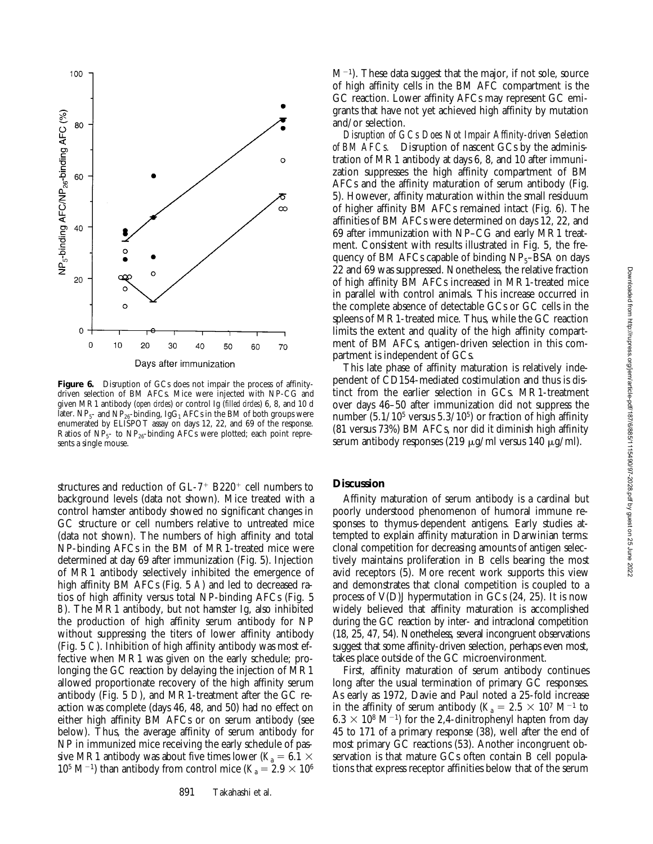Downloaded from http://rupress.org/jem/article-pdf/187/6/885/1115490/97-2028.pdf by guest on 25 June 2022

Downloaded from http://rupress.org/jem/article-pdf/187/6/885/1115490/97-2028.pdf by guest on 25 June 2022



Figure 6. Disruption of GCs does not impair the process of affinitydriven selection of BM AFCs. Mice were injected with NP-CG and given MR1 antibody (*open circles*) or control Ig (*filled circles*) 6, 8, and 10 d later.  $NP_5$ - and  $NP_{26}$ -binding, IgG<sub>1</sub> AFCs in the BM of both groups were enumerated by ELISPOT assay on days 12, 22, and 69 of the response. Ratios of  $NP<sub>5</sub>$ - to  $NP<sub>26</sub>$ -binding AFCs were plotted; each point represents a single mouse.

structures and reduction of  $GL-7$ <sup>+</sup> B220<sup>+</sup> cell numbers to background levels (data not shown). Mice treated with a control hamster antibody showed no significant changes in GC structure or cell numbers relative to untreated mice (data not shown). The numbers of high affinity and total NP-binding AFCs in the BM of MR1-treated mice were determined at day 69 after immunization (Fig. 5). Injection of MR1 antibody selectively inhibited the emergence of high affinity BM AFCs (Fig. 5 *A*) and led to decreased ratios of high affinity versus total NP-binding AFCs (Fig. 5 *B*). The MR1 antibody, but not hamster Ig, also inhibited the production of high affinity serum antibody for NP without suppressing the titers of lower affinity antibody (Fig. 5 *C*). Inhibition of high affinity antibody was most effective when MR1 was given on the early schedule; prolonging the GC reaction by delaying the injection of MR1 allowed proportionate recovery of the high affinity serum antibody (Fig. 5 *D*), and MR1-treatment after the GC reaction was complete (days 46, 48, and 50) had no effect on either high affinity BM AFCs or on serum antibody (see below). Thus, the average affinity of serum antibody for NP in immunized mice receiving the early schedule of passive MR1 antibody was about five times lower ( $K_a = 6.1 \times$  $10^5$  M<sup>-1</sup>) than antibody from control mice ( $K_a = 2.9 \times 10^6$ )

 $M^{-1}$ ). These data suggest that the major, if not sole, source of high affinity cells in the BM AFC compartment is the GC reaction. Lower affinity AFCs may represent GC emigrants that have not yet achieved high affinity by mutation and/or selection.

*Disruption of GCs Does Not Impair Affinity-driven Selection of BM AFCs.* Disruption of nascent GCs by the administration of MR1 antibody at days 6, 8, and 10 after immunization suppresses the high affinity compartment of BM AFCs and the affinity maturation of serum antibody (Fig. 5). However, affinity maturation within the small residuum of higher affinity BM AFCs remained intact (Fig. 6). The affinities of BM AFCs were determined on days 12, 22, and 69 after immunization with NP–CG and early MR1 treatment. Consistent with results illustrated in Fig. 5, the frequency of BM AFCs capable of binding  $NP<sub>5</sub>$ –BSA on days 22 and 69 was suppressed. Nonetheless, the relative fraction of high affinity BM AFCs increased in MR1-treated mice in parallel with control animals. This increase occurred in the complete absence of detectable GCs or GC cells in the spleens of MR1-treated mice. Thus, while the GC reaction limits the extent and quality of the high affinity compartment of BM AFCs, antigen-driven selection in this compartment is independent of GCs.

This late phase of affinity maturation is relatively independent of CD154-mediated costimulation and thus is distinct from the earlier selection in GCs. MR1-treatment over days 46–50 after immunization did not suppress the number  $(5.1/10^5$  versus  $5.3/10^5$ ) or fraction of high affinity (81 versus 73%) BM AFCs, nor did it diminish high affinity serum antibody responses (219  $\mu$ g/ml versus 140  $\mu$ g/ml).

## **Discussion**

Affinity maturation of serum antibody is a cardinal but poorly understood phenomenon of humoral immune responses to thymus-dependent antigens. Early studies attempted to explain affinity maturation in Darwinian terms: clonal competition for decreasing amounts of antigen selectively maintains proliferation in B cells bearing the most avid receptors (5). More recent work supports this view and demonstrates that clonal competition is coupled to a process of V(D)J hypermutation in GCs (24, 25). It is now widely believed that affinity maturation is accomplished during the GC reaction by inter- and intraclonal competition (18, 25, 47, 54). Nonetheless, several incongruent observations suggest that some affinity-driven selection, perhaps even most, takes place outside of the GC microenvironment.

First, affinity maturation of serum antibody continues long after the usual termination of primary GC responses. As early as 1972, Davie and Paul noted a 25-fold increase in the affinity of serum antibody ( $K_a = 2.5 \times 10^7$  M<sup>-1</sup> to  $6.3 \times 10^8$  M<sup>-1</sup>) for the 2,4-dinitrophenyl hapten from day 45 to 171 of a primary response (38), well after the end of most primary GC reactions (53). Another incongruent observation is that mature GCs often contain B cell populations that express receptor affinities below that of the serum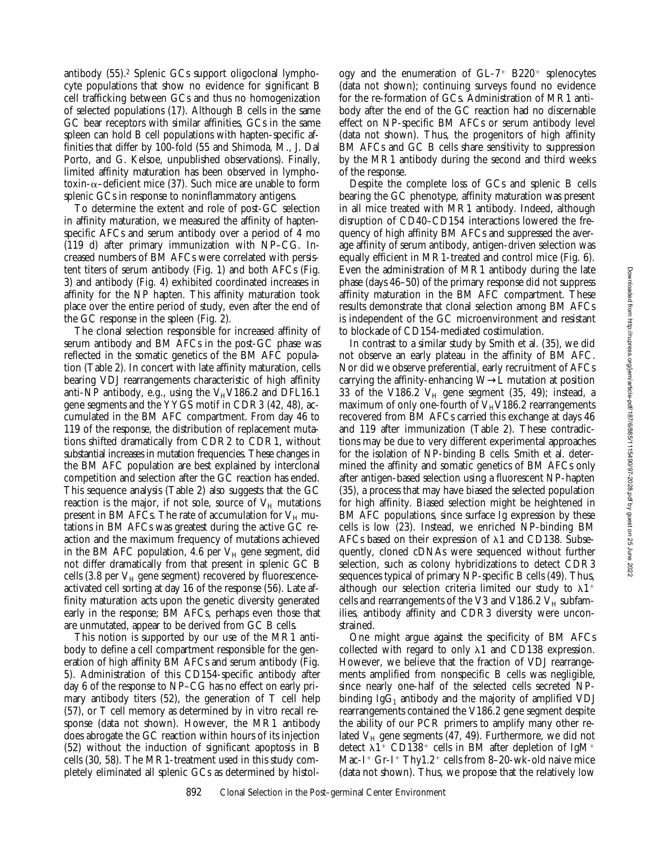antibody (55).2 Splenic GCs support oligoclonal lymphocyte populations that show no evidence for significant B cell trafficking between GCs and thus no homogenization of selected populations (17). Although B cells in the same GC bear receptors with similar affinities, GCs in the same spleen can hold B cell populations with hapten-specific affinities that differ by 100-fold (55 and Shimoda, M., J. Dal Porto, and G. Kelsoe, unpublished observations). Finally, limited affinity maturation has been observed in lymphotoxin- $\alpha$ –deficient mice (37). Such mice are unable to form splenic GCs in response to noninflammatory antigens.

To determine the extent and role of post-GC selection in affinity maturation, we measured the affinity of haptenspecific AFCs and serum antibody over a period of 4 mo (119 d) after primary immunization with NP–CG. Increased numbers of BM AFCs were correlated with persistent titers of serum antibody (Fig. 1) and both AFCs (Fig. 3) and antibody (Fig. 4) exhibited coordinated increases in affinity for the NP hapten. This affinity maturation took place over the entire period of study, even after the end of the GC response in the spleen (Fig. 2).

The clonal selection responsible for increased affinity of serum antibody and BM AFCs in the post-GC phase was reflected in the somatic genetics of the BM AFC population (Table 2). In concert with late affinity maturation, cells bearing VDJ rearrangements characteristic of high affinity anti-NP antibody, e.g., using the  $V_HV186.2$  and DFL16.1 gene segments and the YYGS motif in CDR3 (42, 48), accumulated in the BM AFC compartment. From day 46 to 119 of the response, the distribution of replacement mutations shifted dramatically from CDR2 to CDR1, without substantial increases in mutation frequencies. These changes in the BM AFC population are best explained by interclonal competition and selection after the GC reaction has ended. This sequence analysis (Table 2) also suggests that the GC reaction is the major, if not sole, source of  $V_H$  mutations present in BM AFCs. The rate of accumulation for  $V_H$  mutations in BM AFCs was greatest during the active GC reaction and the maximum frequency of mutations achieved in the BM AFC population, 4.6 per  $V_H$  gene segment, did not differ dramatically from that present in splenic GC B cells (3.8 per  $V_H$  gene segment) recovered by fluorescenceactivated cell sorting at day 16 of the response (56). Late affinity maturation acts upon the genetic diversity generated early in the response; BM AFCs, perhaps even those that are unmutated, appear to be derived from GC B cells.

This notion is supported by our use of the MR1 antibody to define a cell compartment responsible for the generation of high affinity BM AFCs and serum antibody (Fig. 5). Administration of this CD154-specific antibody after day 6 of the response to NP–CG has no effect on early primary antibody titers (52), the generation of T cell help (57), or T cell memory as determined by in vitro recall response (data not shown). However, the MR1 antibody does abrogate the GC reaction within hours of its injection (52) without the induction of significant apoptosis in B cells (30, 58). The MR1-treatment used in this study completely eliminated all splenic GCs as determined by histology and the enumeration of  $GL-7$ <sup>+</sup> B220<sup>+</sup> splenocytes (data not shown); continuing surveys found no evidence for the re-formation of GCs. Administration of MR1 antibody after the end of the GC reaction had no discernable effect on NP-specific BM AFCs or serum antibody level (data not shown). Thus, the progenitors of high affinity BM AFCs and GC B cells share sensitivity to suppression by the MR1 antibody during the second and third weeks of the response.

Despite the complete loss of GCs and splenic B cells bearing the GC phenotype, affinity maturation was present in all mice treated with MR1 antibody. Indeed, although disruption of CD40–CD154 interactions lowered the frequency of high affinity BM AFCs and suppressed the average affinity of serum antibody, antigen-driven selection was equally efficient in MR1-treated and control mice (Fig. 6). Even the administration of MR1 antibody during the late phase (days 46–50) of the primary response did not suppress affinity maturation in the BM AFC compartment. These results demonstrate that clonal selection among BM AFCs is independent of the GC microenvironment and resistant to blockade of CD154-mediated costimulation.

In contrast to a similar study by Smith et al. (35), we did not observe an early plateau in the affinity of BM AFC. Nor did we observe preferential, early recruitment of AFCs carrying the affinity-enhancing W→L mutation at position 33 of the V186.2  $V_H$  gene segment (35, 49); instead, a maximum of only one-fourth of  $V_HV186.2$  rearrangements recovered from BM AFCs carried this exchange at days 46 and 119 after immunization (Table 2). These contradictions may be due to very different experimental approaches for the isolation of NP-binding B cells. Smith et al. determined the affinity and somatic genetics of BM AFCs only after antigen-based selection using a fluorescent NP-hapten (35), a process that may have biased the selected population for high affinity. Biased selection might be heightened in BM AFC populations, since surface Ig expression by these cells is low (23). Instead, we enriched NP-binding BM AFCs based on their expression of  $\lambda$ 1 and CD138. Subsequently, cloned cDNAs were sequenced without further selection, such as colony hybridizations to detect CDR3 sequences typical of primary NP-specific B cells (49). Thus, although our selection criteria limited our study to  $\lambda$ 1<sup>+</sup> cells and rearrangements of the V3 and V186.2  $V_H$  subfamilies, antibody affinity and CDR3 diversity were unconstrained.

One might argue against the specificity of BM AFCs collected with regard to only  $\lambda$ 1 and CD138 expression. However, we believe that the fraction of VDJ rearrangements amplified from nonspecific B cells was negligible, since nearly one-half of the selected cells secreted NPbinding  $IgG_1$  antibody and the majority of amplified VDJ rearrangements contained the V186.2 gene segment despite the ability of our PCR primers to amplify many other related  $V_H$  gene segments (47, 49). Furthermore, we did not detect  $\lambda$ 1<sup>+</sup> CD138<sup>+</sup> cells in BM after depletion of IgM<sup>+</sup> Mac-I<sup>+</sup> Gr-I<sup>+</sup> Thy1.2<sup>+</sup> cells from 8-20-wk-old naive mice (data not shown). Thus, we propose that the relatively low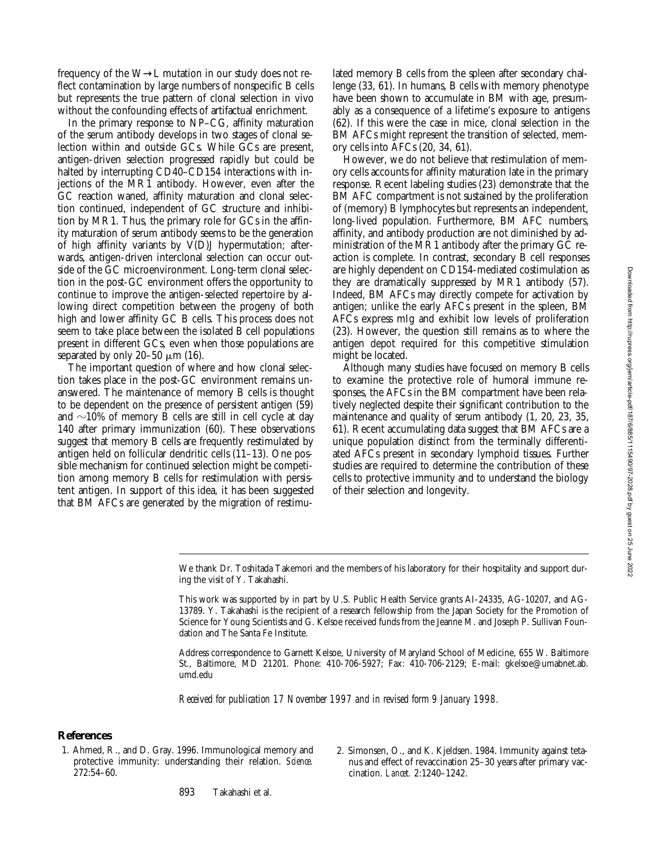frequency of the W→L mutation in our study does not reflect contamination by large numbers of nonspecific B cells but represents the true pattern of clonal selection in vivo without the confounding effects of artifactual enrichment.

In the primary response to NP–CG, affinity maturation of the serum antibody develops in two stages of clonal selection within and outside GCs. While GCs are present, antigen-driven selection progressed rapidly but could be halted by interrupting CD40–CD154 interactions with injections of the MR1 antibody. However, even after the GC reaction waned, affinity maturation and clonal selection continued, independent of GC structure and inhibition by MR1. Thus, the primary role for GCs in the affinity maturation of serum antibody seems to be the generation of high affinity variants by V(D)J hypermutation; afterwards, antigen-driven interclonal selection can occur outside of the GC microenvironment. Long-term clonal selection in the post-GC environment offers the opportunity to continue to improve the antigen-selected repertoire by allowing direct competition between the progeny of both high and lower affinity GC B cells. This process does not seem to take place between the isolated B cell populations present in different GCs, even when those populations are separated by only 20–50  $\mu$ m (16).

The important question of where and how clonal selection takes place in the post-GC environment remains unanswered. The maintenance of memory B cells is thought to be dependent on the presence of persistent antigen (59) and  $\sim$ 10% of memory B cells are still in cell cycle at day 140 after primary immunization (60). These observations suggest that memory B cells are frequently restimulated by antigen held on follicular dendritic cells (11–13). One possible mechanism for continued selection might be competition among memory B cells for restimulation with persistent antigen. In support of this idea, it has been suggested that BM AFCs are generated by the migration of restimulated memory B cells from the spleen after secondary challenge (33, 61). In humans, B cells with memory phenotype have been shown to accumulate in BM with age, presumably as a consequence of a lifetime's exposure to antigens (62). If this were the case in mice, clonal selection in the BM AFCs might represent the transition of selected, memory cells into AFCs (20, 34, 61).

However, we do not believe that restimulation of memory cells accounts for affinity maturation late in the primary response. Recent labeling studies (23) demonstrate that the BM AFC compartment is not sustained by the proliferation of (memory) B lymphocytes but represents an independent, long-lived population. Furthermore, BM AFC numbers, affinity, and antibody production are not diminished by administration of the MR1 antibody after the primary GC reaction is complete. In contrast, secondary B cell responses are highly dependent on CD154-mediated costimulation as they are dramatically suppressed by MR1 antibody (57). Indeed, BM AFCs may directly compete for activation by antigen; unlike the early AFCs present in the spleen, BM AFCs express mIg and exhibit low levels of proliferation (23). However, the question still remains as to where the antigen depot required for this competitive stimulation might be located.

Although many studies have focused on memory B cells to examine the protective role of humoral immune responses, the AFCs in the BM compartment have been relatively neglected despite their significant contribution to the maintenance and quality of serum antibody (1, 20, 23, 35, 61). Recent accumulating data suggest that BM AFCs are a unique population distinct from the terminally differentiated AFCs present in secondary lymphoid tissues. Further studies are required to determine the contribution of these cells to protective immunity and to understand the biology of their selection and longevity.

This work was supported by in part by U.S. Public Health Service grants AI-24335, AG-10207, and AG-13789. Y. Takahashi is the recipient of a research fellowship from the Japan Society for the Promotion of Science for Young Scientists and G. Kelsoe received funds from the Jeanne M. and Joseph P. Sullivan Foundation and The Santa Fe Institute.

Address correspondence to Garnett Kelsoe, University of Maryland School of Medicine, 655 W. Baltimore St., Baltimore, MD 21201. Phone: 410-706-5927; Fax: 410-706-2129; E-mail: gkelsoe@umabnet.ab. umd.edu

*Received for publication 17 November 1997 and in revised form 9 January 1998.*

#### **References**

1. Ahmed, R., and D. Gray. 1996. Immunological memory and protective immunity: understanding their relation. *Science.* 272:54–60.

2. Simonsen, O., and K. Kjeldsen. 1984. Immunity against tetanus and effect of revaccination 25–30 years after primary vaccination. *Lancet.* 2:1240–1242.

We thank Dr. Toshitada Takemori and the members of his laboratory for their hospitality and support during the visit of Y. Takahashi.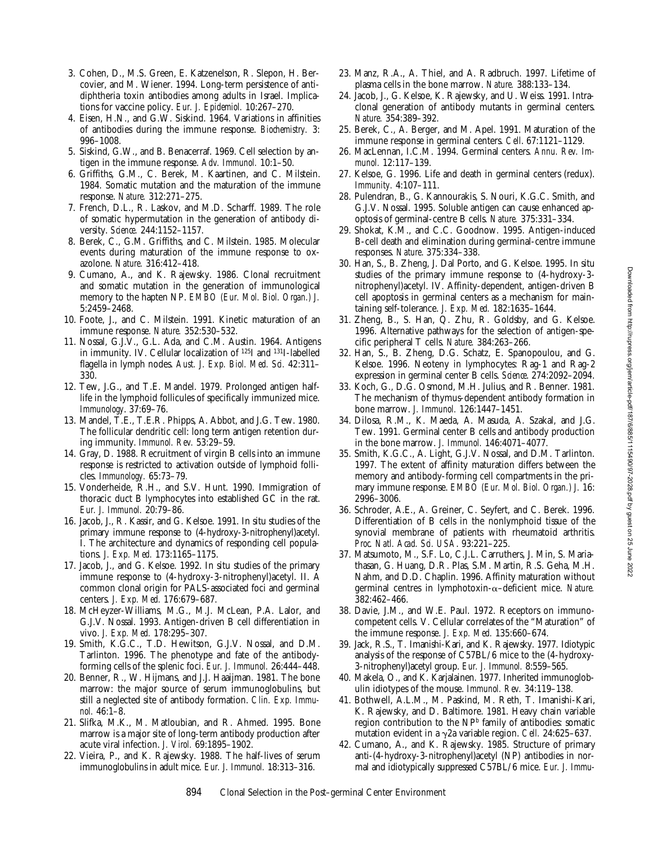Downloaded from http://rupress.org/jem/article-pdf/187/6/885/1115490/97-2028.pdf by guest on 25 June 2022 Downloaded from http://rupress.org/jem/article-pdf/187/6/885/1115490/97-2028.pdf by guest on 25 June 2022

- 3. Cohen, D., M.S. Green, E. Katzenelson, R. Slepon, H. Bercovier, and M. Wiener. 1994. Long-term persistence of antidiphtheria toxin antibodies among adults in Israel. Implications for vaccine policy. *Eur. J. Epidemiol.* 10:267–270.
- 4. Eisen, H.N., and G.W. Siskind. 1964. Variations in affinities of antibodies during the immune response. *Biochemistry.* 3: 996–1008.
- 5. Siskind, G.W., and B. Benacerraf. 1969. Cell selection by antigen in the immune response. *Adv. Immunol.* 10:1–50.
- 6. Griffiths, G.M., C. Berek, M. Kaartinen, and C. Milstein. 1984. Somatic mutation and the maturation of the immune response. *Nature.* 312:271–275.
- 7. French, D.L., R. Laskov, and M.D. Scharff. 1989. The role of somatic hypermutation in the generation of antibody diversity. *Science.* 244:1152–1157.
- 8. Berek, C., G.M. Griffiths, and C. Milstein. 1985. Molecular events during maturation of the immune response to oxazolone. *Nature.* 316:412–418.
- 9. Cumano, A., and K. Rajewsky. 1986. Clonal recruitment and somatic mutation in the generation of immunological memory to the hapten NP. *EMBO (Eur. Mol. Biol. Organ.) J.* 5:2459–2468.
- 10. Foote, J., and C. Milstein. 1991. Kinetic maturation of an immune response. *Nature.* 352:530–532.
- 11. Nossal, G.J.V., G.L. Ada, and C.M. Austin. 1964. Antigens in immunity. IV. Cellular localization of 125I and 131I-labelled flagella in lymph nodes. *Aust. J. Exp. Biol. Med. Sci.* 42:311– 330.
- 12. Tew, J.G., and T.E. Mandel. 1979. Prolonged antigen halflife in the lymphoid follicules of specifically immunized mice. *Immunology*. 37:69–76.
- 13. Mandel, T.E., T.E.R. Phipps, A. Abbot, and J.G. Tew. 1980. The follicular dendritic cell: long term antigen retention during immunity. *Immunol. Rev.* 53:29–59.
- 14. Gray, D. 1988. Recruitment of virgin B cells into an immune response is restricted to activation outside of lymphoid follicles. *Immunology.* 65:73–79.
- 15. Vonderheide, R.H., and S.V. Hunt. 1990. Immigration of thoracic duct B lymphocytes into established GC in the rat. *Eur. J. Immunol.* 20:79–86.
- 16. Jacob, J., R. Kassir, and G. Kelsoe. 1991. In situ studies of the primary immune response to (4-hydroxy-3-nitrophenyl)acetyl. I. The architecture and dynamics of responding cell populations. *J. Exp. Med.* 173:1165–1175.
- 17. Jacob, J., and G. Kelsoe. 1992. In situ studies of the primary immune response to (4-hydroxy-3-nitrophenyl)acetyl. II. A common clonal origin for PALS-associated foci and germinal centers. *J. Exp. Med.* 176:679–687.
- 18. McHeyzer-Williams, M.G., M.J. McLean, P.A. Lalor, and G.J.V. Nossal. 1993. Antigen-driven B cell differentiation in vivo. *J. Exp. Med.* 178:295–307.
- 19. Smith, K.G.C., T.D. Hewitson, G.J.V. Nossal, and D.M. Tarlinton. 1996. The phenotype and fate of the antibodyforming cells of the splenic foci. *Eur. J. Immunol.* 26:444–448.
- 20. Benner, R., W. Hijmans, and J.J. Haaijman. 1981. The bone marrow: the major source of serum immunoglobulins, but still a neglected site of antibody formation. *Clin. Exp. Immunol.* 46:1–8.
- 21. Slifka, M.K., M. Matloubian, and R. Ahmed. 1995. Bone marrow is a major site of long-term antibody production after acute viral infection. *J. Virol.* 69:1895–1902.
- 22. Vieira, P., and K. Rajewsky. 1988. The half-lives of serum immunoglobulins in adult mice. *Eur. J. Immunol.* 18:313–316.
- 23. Manz, R.A., A. Thiel, and A. Radbruch. 1997. Lifetime of plasma cells in the bone marrow. *Nature.* 388:133–134.
- 24. Jacob, J., G. Kelsoe, K. Rajewsky, and U. Weiss. 1991. Intraclonal generation of antibody mutants in germinal centers. *Nature.* 354:389–392.
- 25. Berek, C., A. Berger, and M. Apel. 1991. Maturation of the immune response in germinal centers. *Cell*. 67:1121–1129.
- 26. MacLennan, I.C.M. 1994. Germinal centers. *Annu. Rev. Immunol.* 12:117–139.
- 27. Kelsoe, G. 1996. Life and death in germinal centers (redux). *Immunity.* 4:107–111.
- 28. Pulendran, B., G. Kannourakis, S. Nouri, K.G.C. Smith, and G.J.V. Nossal. 1995. Soluble antigen can cause enhanced apoptosis of germinal-centre B cells. *Nature.* 375:331–334.
- 29. Shokat, K.M., and C.C. Goodnow. 1995. Antigen-induced B-cell death and elimination during germinal-centre immune responses. *Nature*. 375:334–338.
- 30. Han, S., B. Zheng, J. Dal Porto, and G. Kelsoe. 1995. In situ studies of the primary immune response to (4-hydroxy-3 nitrophenyl)acetyl. IV. Affinity-dependent, antigen-driven B cell apoptosis in germinal centers as a mechanism for maintaining self-tolerance. *J. Exp. Med.* 182:1635–1644.
- 31. Zheng, B., S. Han, Q. Zhu, R. Goldsby, and G. Kelsoe. 1996. Alternative pathways for the selection of antigen-specific peripheral T cells. *Nature.* 384:263–266.
- 32. Han, S., B. Zheng, D.G. Schatz, E. Spanopoulou, and G. Kelsoe. 1996. Neoteny in lymphocytes: Rag-1 and Rag-2 expression in germinal center B cells. *Science*. 274:2092–2094.
- 33. Koch, G., D.G. Osmond, M.H. Julius, and R. Benner. 1981. The mechanism of thymus-dependent antibody formation in bone marrow. *J. Immunol.* 126:1447–1451.
- 34. Dilosa, R.M., K. Maeda, A. Masuda, A. Szakal, and J.G. Tew. 1991. Germinal center B cells and antibody production in the bone marrow. *J. Immunol.* 146:4071–4077.
- 35. Smith, K.G.C., A. Light, G.J.V. Nossal, and D.M. Tarlinton. 1997. The extent of affinity maturation differs between the memory and antibody-forming cell compartments in the primary immune response. *EMBO (Eur. Mol. Biol. Organ.) J.* 16: 2996–3006.
- 36. Schroder, A.E., A. Greiner, C. Seyfert, and C. Berek. 1996. Differentiation of B cells in the nonlymphoid tissue of the synovial membrane of patients with rheumatoid arthritis. *Proc. Natl. Acad. Sci. USA*. 93:221–225.
- 37. Matsumoto, M., S.F. Lo, C.J.L. Carruthers, J. Min, S. Mariathasan, G. Huang, D.R. Plas, S.M. Martin, R.S. Geha, M.H. Nahm, and D.D. Chaplin. 1996. Affinity maturation without germinal centres in lymphotoxin-a–deficient mice. *Nature.* 382:462–466.
- 38. Davie, J.M., and W.E. Paul. 1972. Receptors on immunocompetent cells. V. Cellular correlates of the "Maturation" of the immune response. *J. Exp. Med.* 135:660–674.
- 39. Jack, R.S., T. Imanishi-Kari, and K. Rajewsky. 1977. Idiotypic analysis of the response of C57BL/6 mice to the (4-hydroxy-3-nitrophenyl)acetyl group. *Eur. J. Immunol.* 8:559–565.
- 40. Makela, O., and K. Karjalainen. 1977. Inherited immunoglobulin idiotypes of the mouse. *Immunol. Rev.* 34:119–138.
- 41. Bothwell, A.L.M., M. Paskind, M. Reth, T. Imanishi-Kari, K. Rajewsky, and D. Baltimore. 1981. Heavy chain variable region contribution to the NP<sup>b</sup> family of antibodies: somatic mutation evident in a  $\gamma$ 2a variable region. *Cell.* 24:625–637.
- 42. Cumano, A., and K. Rajewsky. 1985. Structure of primary anti-(4-hydroxy-3-nitrophenyl)acetyl (NP) antibodies in normal and idiotypically suppressed C57BL/6 mice. *Eur. J. Immu-*